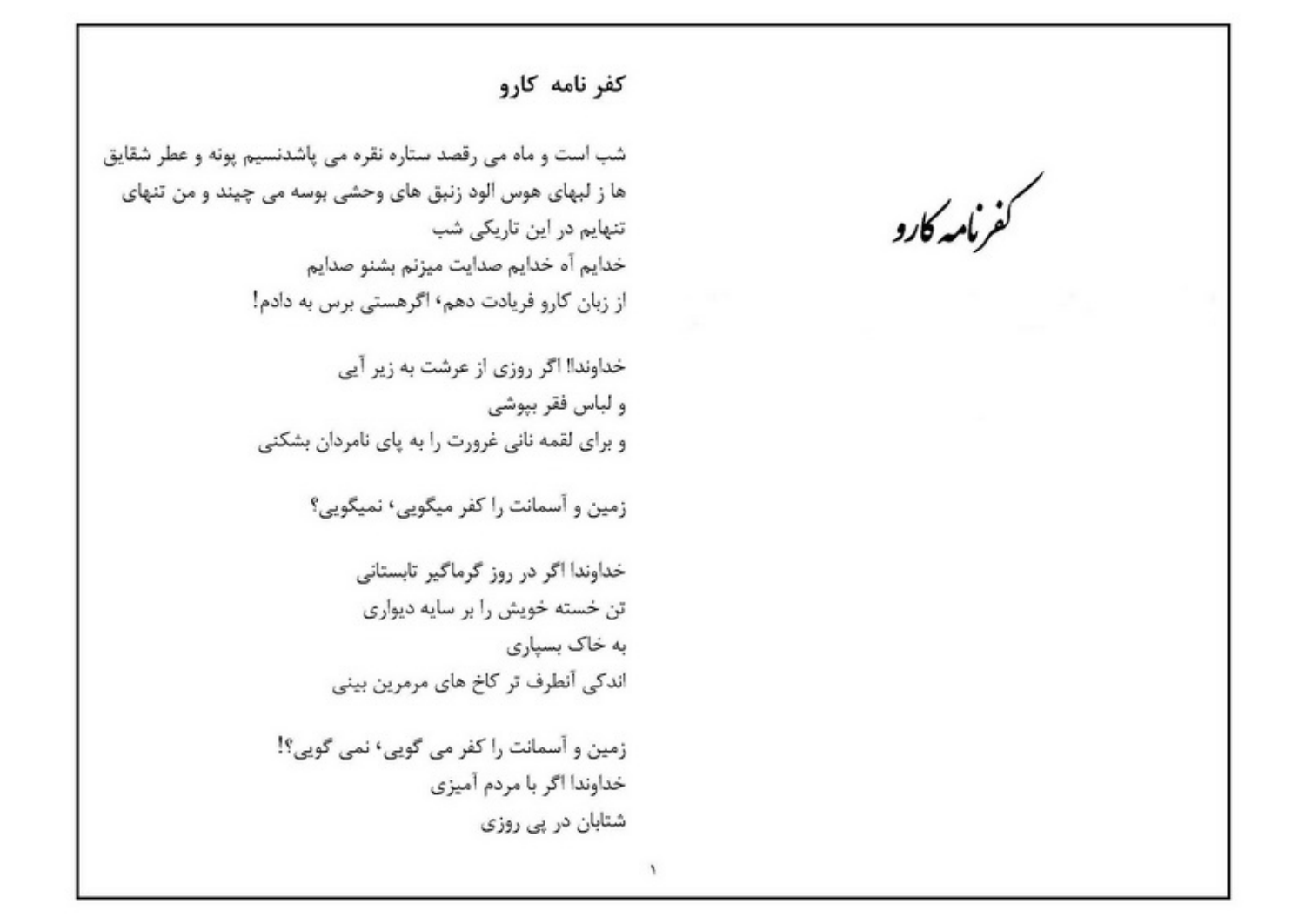كفرنامه كارو

## كفر نامه كارو

شب است و ماه می رقصد ستاره نقره می پاشدنسیم پونه و عطر شقایق ها ز لبهای هوس الود زنبق های وحشی بوسه می چیند و من تنهای تنهایم در این تاریکی شب خدایم آه خدایم صدایت میزنم بشنو صدایم از زبان کارو فریادت دهم٬ اگرهستی برس به دادم!

> خداوندا! اگر روزی از عرشت به زیر آیی و لباس فقر بيوشي و برای لقمه نانی غرورت را به پای نامردان بشکنی

> > زمین و آسمانت را کفر میگویی، نمیگویی؟

خداوندا اگر در روز گرماگیر تابستانی تن خسته خویش را بر سایه دیواری به خاک بسیا<sub>د</sub>ی اندکی آنطرف تر کاخ های مرمرین بینی

زمین و آسمانت را کفر می گویی، نمی گویی؟! خداوندا اګر با مردم آمیزی شتابان در پی روزی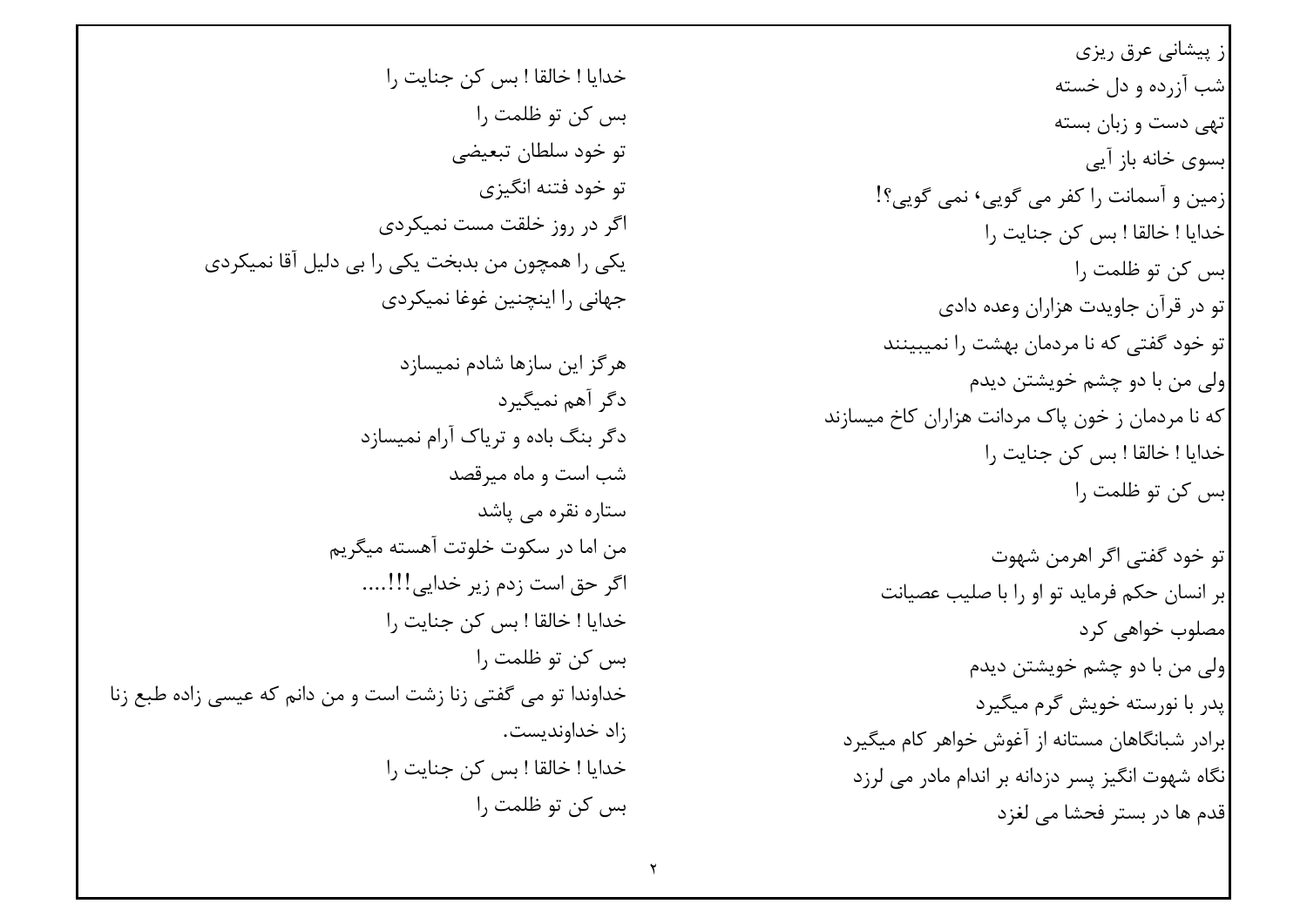ز پیشانی عرق ریزی |شب آزرده و دل خسته تهی دست و زبان بسته ابسوی خانه باز آیی |زمین و آسمانت را کفر می گویی٬ نمی گویی؟! خدايا ! خالقا ! بس كن جنايت ,ا ابس کن تو ظلمت ۱٫ تو در قرآن جاویدت هزاران وعده دادی تو خود گفتی که نا مردمان بهشت را نمیبینند |ولي من با دو چشم خويشتن ديدم که نا مردمان ز خون پاک مردانت هزاران کاخ میسازند خدايا ! خالقا ! بس كن جنايت ,ا بس کن تو ظلمت را تو خود گفتے اگر اهرمن شهوت بر انسان حکم فرماید تو او را با صلیب عصیانت امصلوب خواهی کرد ولي من با دو چشم خويشتن ديدم يدر با نورسته خويش گرم ميگيرد ابرادر شبانگاهان مستانه از آغوش خواهر کام میگیرد نگاه شهوت انگیز پسر دزدانه بر اندام مادر می لرزد قدم ها در بستر فحشا مے لغزد

خدايا ! خالقا ! بس كن جنايت ,ا ېس کن تو ظلمت ۱٫ تو خود سلطان تبعیضی تو خود فتنه انگيزي اگر در روز خلقت مست نمیکردی یکی را همچون من بدبخت یکی را بی دلیل آقا نمیکردی جهانی را اینچنین غوغا نمیکردی هر گز این سازها شادم نمیسازد دگر آهم نمیگیرد دگر بنگ باده و تریاک آرام نمیسازد شب است و ماه میرقصد ستارہ نقرہ مے یاشد من اما در سكوت خلوتت آهسته ميگريم اگر حق است زدم زیر خدایی!!!….. خدايا ! خالقا ! بس كن جنايت ,ا بس کن تو ظلمت ,ا خداوندا تو مي گفتي زنا زشت است و من دانم كه عيسى زاده طبع زنا زاد خداونديست. خدايا ! خالقا ! بس كن جنايت را بس کن تو ظلمت ,ا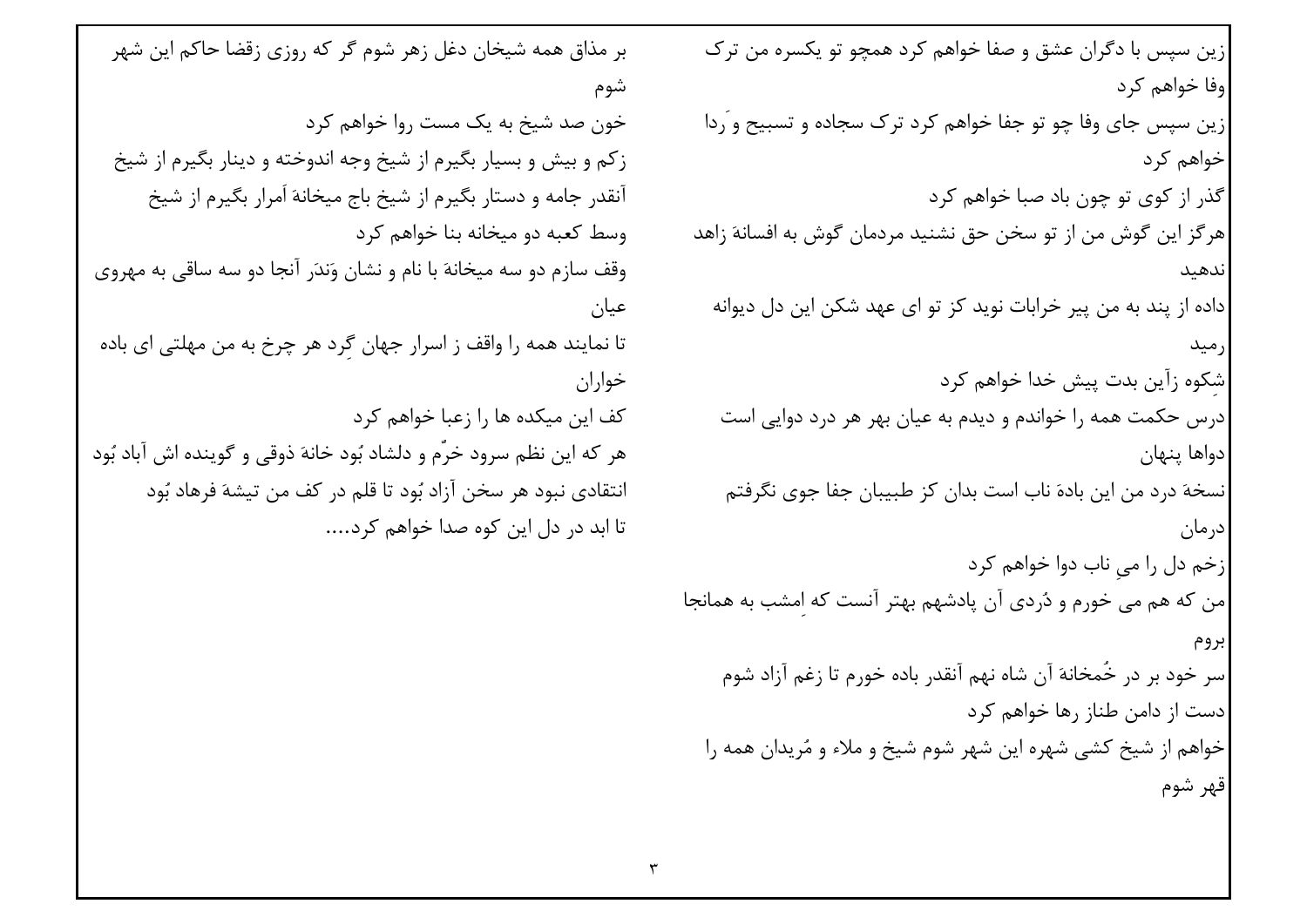زین سپس با دگران عشق و صفا خواهم کرد همچو تو یکسره من ترک وفا خواهم کړد شوم زین سپس جای وفا چو تو جفا خواهم کرد ترک سجاده و تسبیح و َردا خواهم کړ د گذر از کوی تو چون باد صبا خواهم کرد هر گز این گوش من از تو سخن حق نشنید مردمان گوش به افسانهَ زاهد ندهىد داده از پند به من پیر خرابات نوید کز تو ای عهد شکن این دل دیوانه عيان خواران شکوه زآین بدت پیش خدا خواهم کرد درس حکمت همه را خواندم و دیدم به عیان بهر هر درد دوایی است دواها ينهان نسخهَ درد من این بادهَ ناب است بدان کز طبیبان جفا جوی نگرفتم در مان زخم دل را مي ناب دوا خواهم كرد من که هم می خورم و دُردی آن پادشهم بهتر آنست که امشب به همانجا سر خود بر در خَمخانهَ آن شاه نهم آنقدر باده خورم تا زغم آزاد شوم |دست از دامن طناز رها خواهم کرد خواهم از شیخ کشی شهره این شهر شوم شیخ و ملاء و مُریدان همه را قهر شوم

بر مذاق همه شیخان دغل زهر شوم گر که روزی زقضا حاکم این شهر خون صد شیخ به یک مست روا خواهم کرد زکم و بیش و بسیار بگیرم از شیخ وجه اندوخته و دینار بگیرم از شیخ آنقدر جامه و دستار بگیرم از شیخ باج میخانهَ اَمرار بگیرم از شیخ وسط کعبه دو میخانه بنا خواهم کرد وقف سازم دو سه میخانهَ با نام و نشان وَندَر آنجا دو سه ساقی به مهروی تا نمایند همه را واقف ز اسرار جهان گرد هر چرخ به من مهلتی ای باده کف این میکده ها را زعبا خواهم کرد هر كه اين نظم سرود خرَّم و دلشاد بُود خانهَ ذوقي و گوينده اش آباد بُود انتقادي نبود هر سخن آزاد بُود تا قلم در كف من تيشهَ فرهاد بُود تا ابد در دل این کوه صدا خواهم کرد....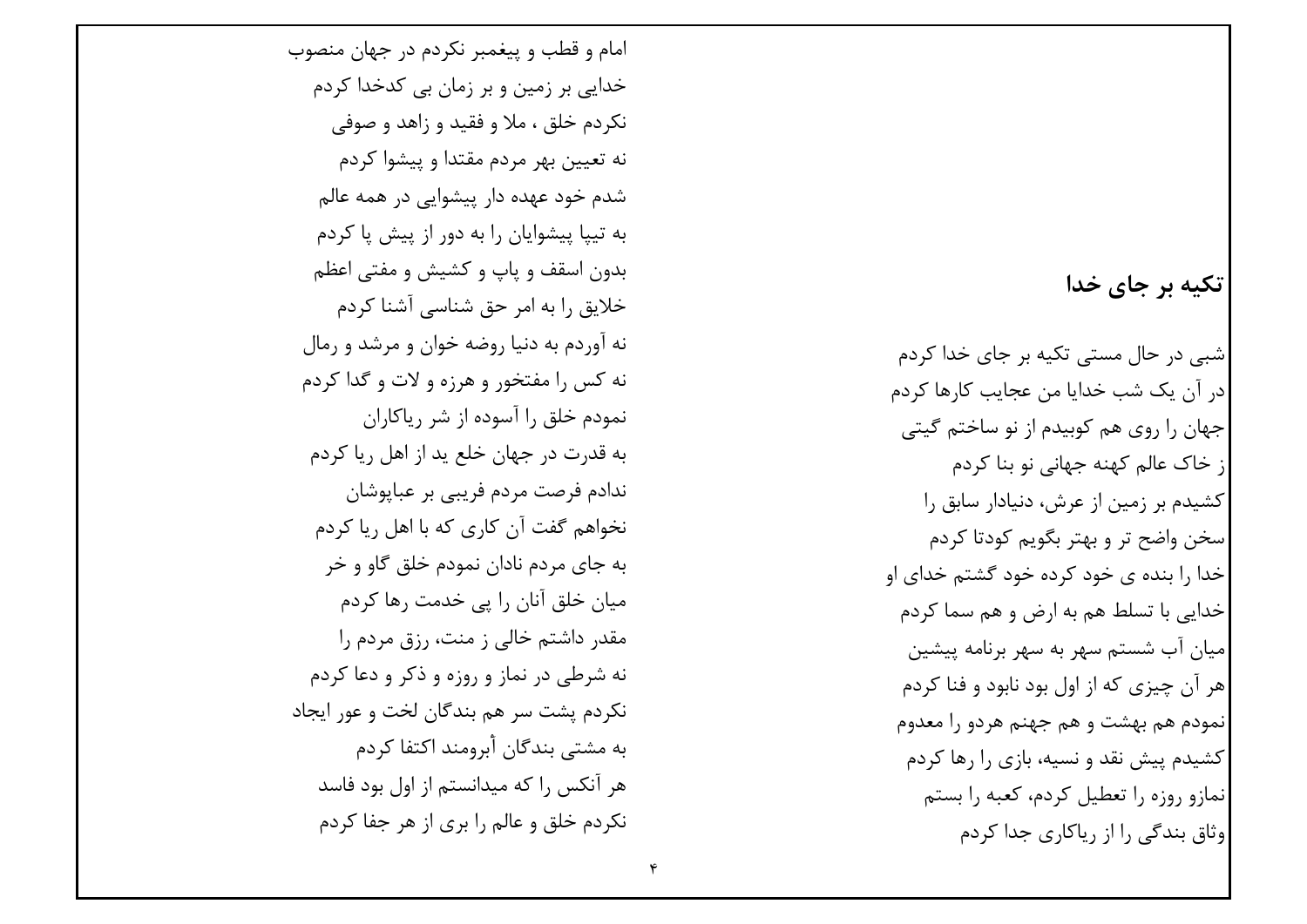## تکیه بر جای خدا

شبے در حال مستے تکبه بر جای خدا کردم ادر آن یک شب خدایا من عجایب کارها کردم جهان را روی هم کوبیدم از نو ساختم گیتی از خاک عالم کهنه جهانی نو بنا کردم کشیدم بر زمین از عرش، دنیادار سابق را سخن واضح تر و بهتر بگويم كودتا كردم خدا ,ا بنده ی خود کرده خود گشتم خدای او خدایی با تسلط هم به ارض و هم سما کردم ميان آب شستم سهر به سهر برنامه پيشين |هر آن چیزی که از اول بود نابود و فنا کردم نمودم هم بهشت و هم جهنم هردو را معدوم کشیدم پیش نقد و نسیه، بازی را رها کردم نمازو روزه را تعطیل کردم، کعبه را بستم وثاق پندگی ,ا از , پاکاری چدا کردم

امام و قطب و پیغمبر نکردم در چهان منصوب خدایے بر زمین و بر زمان بے کدخدا کردم نکردم خلق ، ملا و فقید و زاهد و صوفی نه تعیین بهر مردم مقتدا و پیشوا کردم شدم خود عهده دار پیشوایی در همه عالم به تبیا پیشوایان را به دور از پیش یا کردم بدون اسقف و پاپ و کشیش و مفتی اعظم خلایق را به امر حق شناسی آشنا کردم نه آوردم به دنیا روضه خوان و مرشد و رمال نه کس را مفتخور و هرزه و لات و گدا کردم نمودم خلق را آسوده از شر ریاکاران به قدرت در جهان خلع پد از اهل ريا كردم ندادم فرصت مردم فریبے ہر عبایوشان نخواهم گفت آن کاری که با اهل ریا کردم به جای مردم نادان نمودم خلق گاو و خر میان خلق آنان را پے خدمت رها کردم مقدر داشتم خالی ز منت، رزق مردم را نه شرطی در نماز و روزه و ذکر و دعا کردم نکردم پشت سر هم بندگان لخت و عور ایجاد یه مشتے بندگان أبرومند اکتفا کردم هر آنکس را که میدانستم از اول بود فاسد نکردم خلق و عالم را بری از هر جفا کردم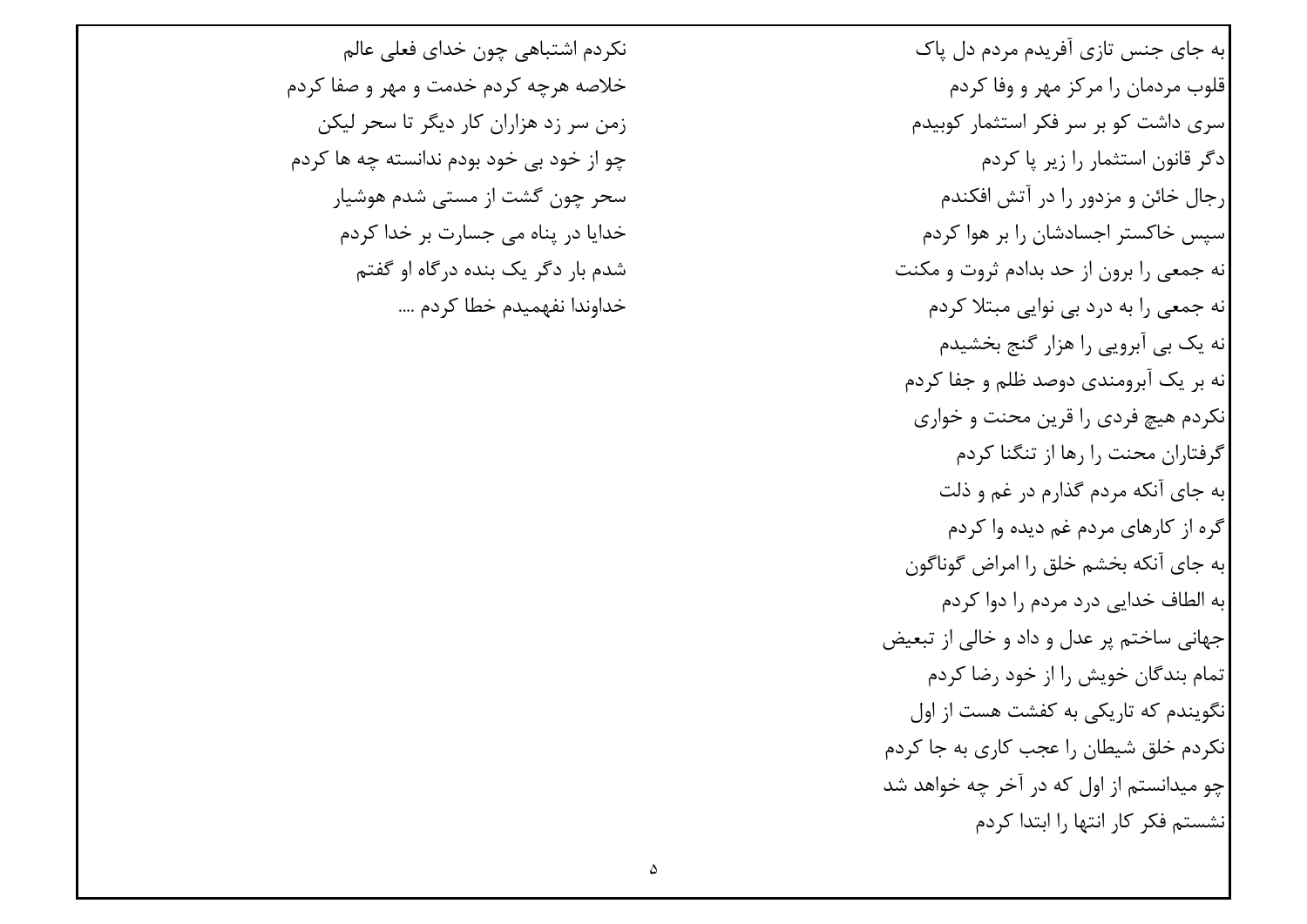به جای جنس تازی آفریدم مردم دل پاک قلوب مردمان را مرکز مهر و وفا کردم اسری داشت کو بر سر فکر استثمار کوبیدم دگر قانون استثمار را زیر پا کردم |, جال خائن و مزدور ,ا در آتش افکندم اسیس خاکستر اجسادشان را بر هوا کردم نه جمعی را برون از حد بدادم ثروت و مکنت نه جمعی را به درد بی نوایی مبتلا کردم نه یک بی آبرویی را هزار گنج بخشیدم انه بر یک آبرومندی دوصد ظلم و جفا کردم انکردم هیچ فردی ,ا قرین محنت و خواری گرفتاران محنت ۱٫ ها از تنگنا کردم به جای آنکه مردم گذارم در غم و ذلت گره از کارهای مردم غم دیده وا کردم به جای آنکه بخشم خلق را امراض گوناگون به الطاف خدایی درد مردم را دوا کردم جهاني ساختم پر عدل و داد و خالي از تبعيض تمام بندگان خویش را از خود رضا کردم نگویندم که تاریکی به کفشت هست از اول نکردم خلق شیطان را عجب کاری به جا کردم چو میدانستم از اول که در آخر چه خواهد شد نشستم فكر كار انتها را ابتدا كردم

نکردم اشتباهی چون خدای فعلی عالم خلاصه هرچه کړدم خدمت و مهر و صفا کړدم زمن سر زد هزاران كار ديگر تا سحر ليكن چو از خود بے خود بودم ندانسته چه ها کردم سحر چون گشت از مستے شدم هوشیار خدایا در پناه مے جسارت بر خدا کردم شدم بار دگر یک بنده درگاه او گفتم خداوندا نفهميدم خطا كردم ....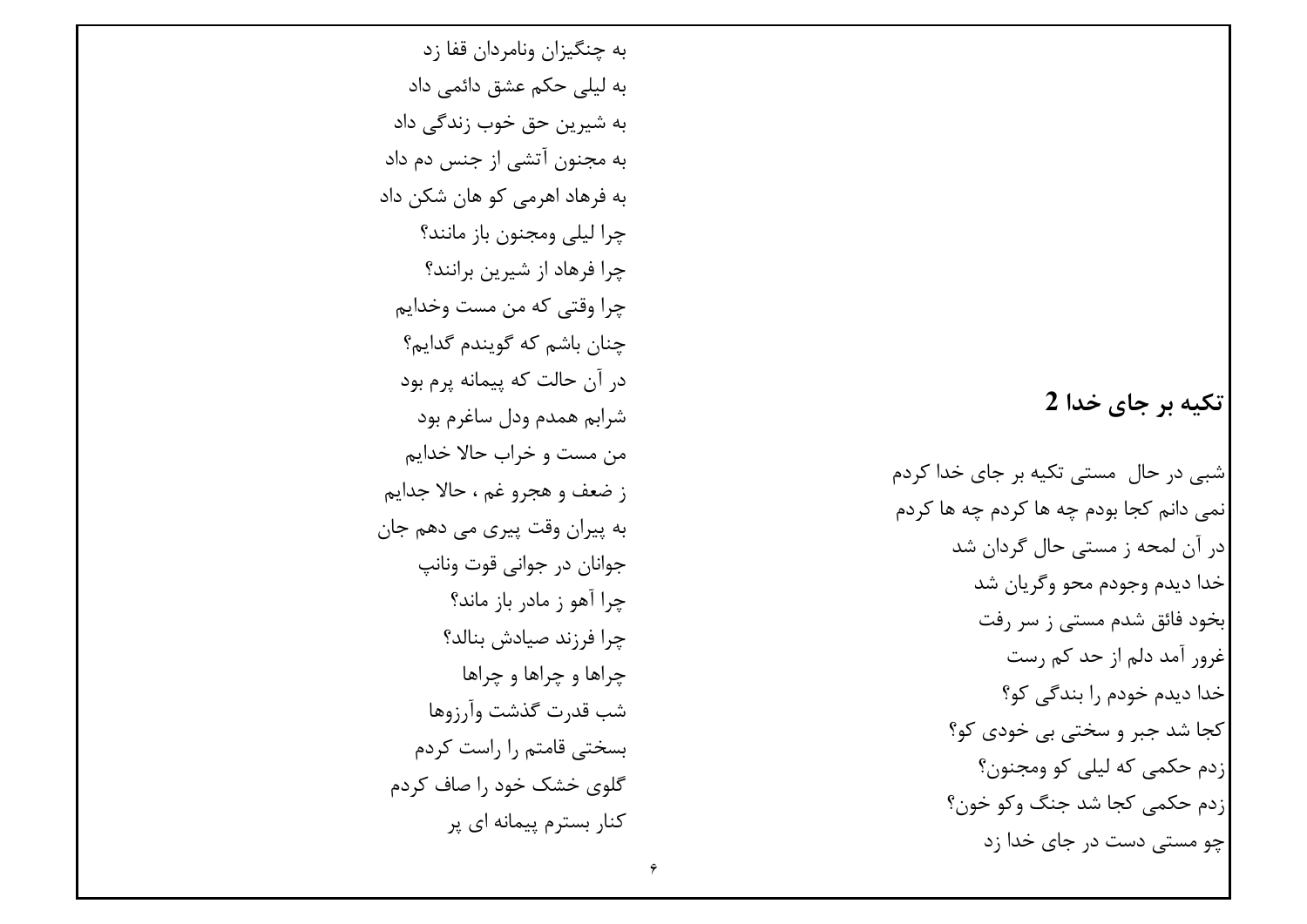تکیه بر جای خدا 2

شبی در حال ًمستی تکیه بر جای خدا کردم ٰ نمی دانم کجا بودم چه ها کردم چه ها کردم |در آن لمحه ز مستی حال گردان شد خدا ديدم وجودم محو وگريان شد ً بخود فائق شدم مستى ز سر رفت |غرور آمد دلم از حد کم رست خدا دیدم خودم را بندگی کو؟ كجا شد جبر و سختي بي خودي كو؟ زدم حکمي که ليلي کو ومجنون؟ زدم حکمي کجا شد جنگ وکو خون؟ چو مستی دست در جای خدا زد

به چنگیزان ونامردان قفا زد به ليلي حكم عشق دائمي داد به شیرین حق خوب زندگی داد به مجنون آتشی از جنس دم داد به فرهاد اهرمی کو هان شکن داد چرا ليلي ومجنون باز مانند؟ چرا فرهاد از شیرین برانند؟ چرا وقتی که من مست وخدایم چنان باشم که گویندم گدایم؟ در آن حالت که پیمانه پرم بود شرابم همدم ودل ساغرم بود من مست و خراب حالا خدایم ز ضعف و هجرو غم ، حالا جدايم به پیران وقت پیری می دهم جان جوانان در جواني قوت ونانپ چرا آهو ; مادر باز ماند؟ چرا فرزند صیادش بنالد؟ چراها و چراها و چراها شب قدرت گذشت وآرزوها بسختی قامتم را راست کردم گلوی خشک خود ,ا صاف کردم کنار بسترم پیمانه ای پر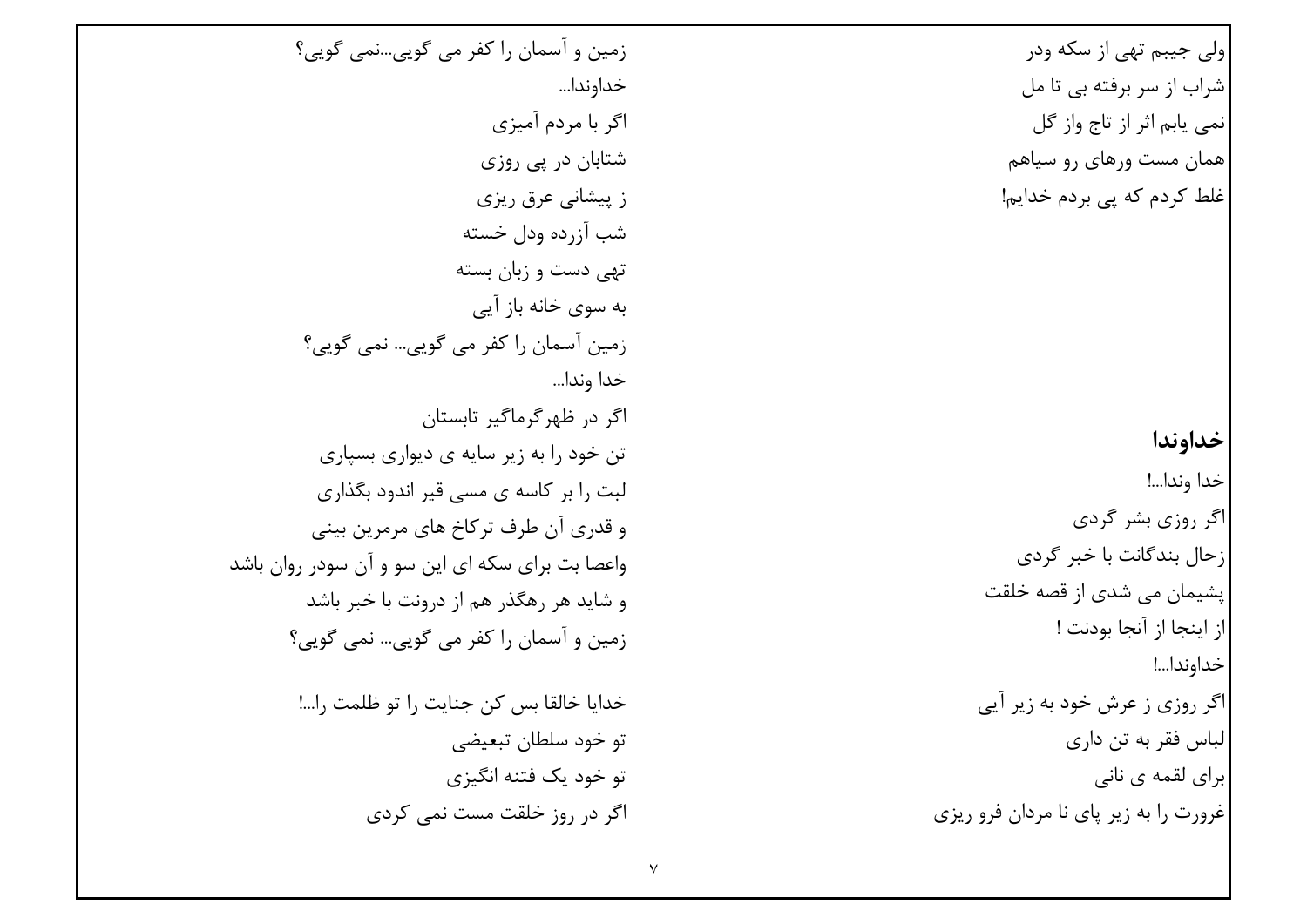|ولي جيبم تھي از سکه ودر شراب از سر برفته بی تا مل انمي پاٻم اثر از تاج واز گل |همان مست ورهای رو سیاهم غلط کردم که یی بردم خدایم! خداوندا خدا وندا...! اگر روزی بشر گردی زحال بندگانت با خبر گردی یشیمان می شدی از قصه خلقت از اينجا از آنجا بودنت ! خداوندا...! اگر روزی ز عرش خود به زیر آیی |لباس فقر به تن داري ابرای لقمه ی نانی غرورت را به زیر پای نا مردان فرو ریزی

زمین و آسمان را کفر می گویی…نمی گویی؟ خداوندا... اگر با مردم آمیزی شتابان در یې روزې ز پیشانی عرق ریزی شب آزرده ودل خسته تھے دست و زبان بسته به سوی خانه باز آیے زمین آسمان را کفر می گویی… نمی گویی؟ خدا وندا... اگر در ظهر گرماگیر تابستان تن خود را به زیر سایه ی دیواری بسپاری لبت ۱٫ بر کاسه ی مسے قبر اندود بگذاری و قدري آن طرف تركاخ هاي مرمرين بيني واعصا بت برای سکه ای این سو و آن سودر روان باشد و شاید هر رهگذر هم از درونت با خبر باشد ;مین و آسمان ,ا کفر می گویی… نمی گویی؟ خدايا خالقا بس كن جنايت را تو ظلمت را...!

تو خود سلطان تبعیضی تو خود یک فتنه انگیزی اگر در روز خلقت مست نمے کردی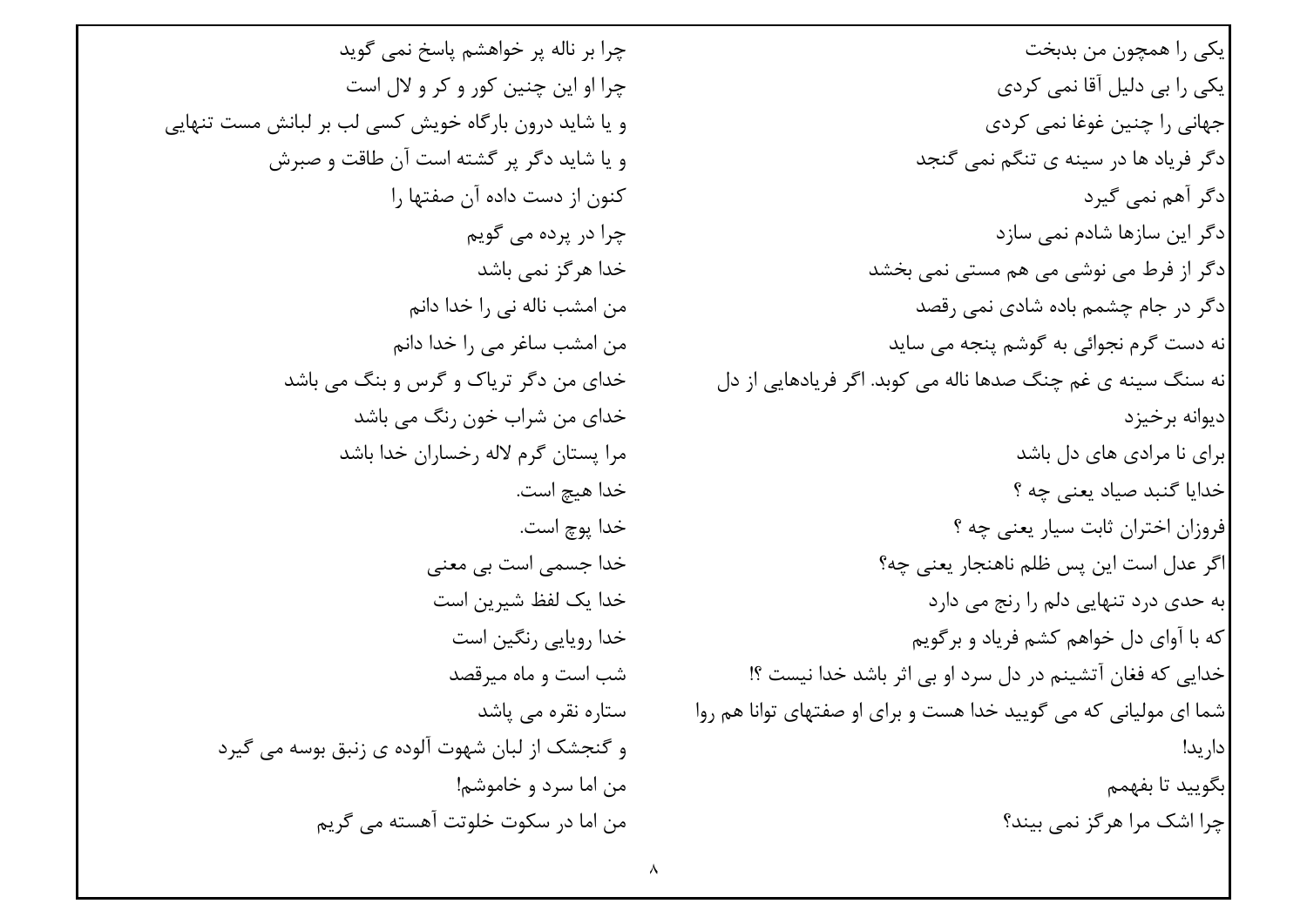چرا بر ناله پر خواهشم پاسخ نمی گوید چرا او این چنین کور و کر و لال است و یا شاید درون بارگاه خویش کسی لب بر لبانش مست تنهایی و یا شاید دگر پر گشته است آن طاقت و صبرش کنون از دست داده آن صفتها ,ا چرا در پردہ مے گویم خدا هر گز نمے باشد من امشب ناله ني ,ا خدا دانم من امشب ساغر می را خدا دانم خدای من دگر تریاک و گرس و بنگ می باشد خدای من شراب خون رنگ مے باشد مرا يستان گرم لاله , خساران خدا باشد خدا هيچ است. خدا يوچ است. خدا جسمي است بي معني خدا یک لفظ شیرین است خدا روپایی رنگین است شب است و ماه میرقصد ستارہ نقرہ مے یاشد و گنجشک از لبان شهوت آلوده ی زنبق بوسه می گیرد من اما سرد و خاموشم! من اما در سکوت خلوتت آهسته مے گریم

یکی را همچون من بدبخت یکی را بی دلیل آقا نمی کردی جهانی را چنین غوغا نمی کردی دگر فریاد ها در سینه ی تنگم نمی گنجد ادگر آهم نمي گيرد دگر این سازها شادم نمی سازد دگر از فرط می نوشی می هم مستی نمی بخشد دگر در جام چشمم باده شادی نمی رقصد نه دست گرم نجوائی به گوشم پنجه می ساید نه سنگ سينه ي غم چنگ صدها ناله مي کوبد. اگر فريادهايي از دل ديوانه برخيزد برای نا مرادی های دل باشد خدایا گنبد صیاد یعنی چه ؟ فروزان اختران ثابت سيار يعني چه ؟ اگر عدل است این پس ظلم ناهنجار یعنی چه؟ به حدی درد تنهایی دلم را رنج می دارد که با آوای دل خواهم کشم فریاد و برگویم خدایی که فغان آتشینم در دل سرد او بی اثر باشد خدا نیست ؟! شما ای مولیانی که می گویید خدا هست و برای او صفتهای توانا هم روا دار يد! بگوييد تا بفهمم چرا اشک مرا هرگز نمی بیند؟